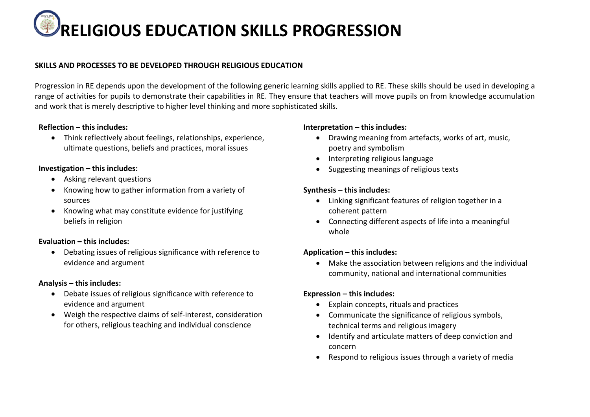# **RELIGIOUS EDUCATION SKILLS PROGRESSION**

## **SKILLS AND PROCESSES TO BE DEVELOPED THROUGH RELIGIOUS EDUCATION**

Progression in RE depends upon the development of the following generic learning skills applied to RE. These skills should be used in developing a range of activities for pupils to demonstrate their capabilities in RE. They ensure that teachers will move pupils on from knowledge accumulation and work that is merely descriptive to higher level thinking and more sophisticated skills.

## **Reflection – this includes:**

• Think reflectively about feelings, relationships, experience, ultimate questions, beliefs and practices, moral issues

### **Investigation – this includes:**

- Asking relevant questions
- Knowing how to gather information from a variety of sources
- Knowing what may constitute evidence for justifying beliefs in religion

## **Evaluation – this includes:**

• Debating issues of religious significance with reference to evidence and argument

#### **Analysis – this includes:**

- Debate issues of religious significance with reference to evidence and argument
- Weigh the respective claims of self-interest, consideration for others, religious teaching and individual conscience

## **Interpretation – this includes:**

- Drawing meaning from artefacts, works of art, music, poetry and symbolism
- Interpreting religious language
- Suggesting meanings of religious texts

## **Synthesis – this includes:**

- Linking significant features of religion together in a coherent pattern
- Connecting different aspects of life into a meaningful whole

## **Application – this includes:**

• Make the association between religions and the individual community, national and international communities

## **Expression – this includes:**

- Explain concepts, rituals and practices
- Communicate the significance of religious symbols, technical terms and religious imagery
- Identify and articulate matters of deep conviction and concern
- Respond to religious issues through a variety of media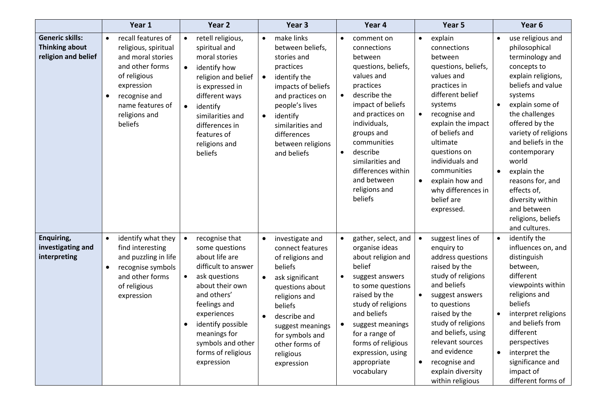|                                                                        | Year 1                                                                                                                                                                                              | Year <sub>2</sub>                                                                                                                                                                                                                                                                   | Year 3                                                                                                                                                                                                                                                           | Year 4                                                                                                                                                                                                                                                                                                                  | Year 5                                                                                                                                                                                                                                                                                                                         | Year 6                                                                                                                                                                                                                                                                                                                                                                                                                      |
|------------------------------------------------------------------------|-----------------------------------------------------------------------------------------------------------------------------------------------------------------------------------------------------|-------------------------------------------------------------------------------------------------------------------------------------------------------------------------------------------------------------------------------------------------------------------------------------|------------------------------------------------------------------------------------------------------------------------------------------------------------------------------------------------------------------------------------------------------------------|-------------------------------------------------------------------------------------------------------------------------------------------------------------------------------------------------------------------------------------------------------------------------------------------------------------------------|--------------------------------------------------------------------------------------------------------------------------------------------------------------------------------------------------------------------------------------------------------------------------------------------------------------------------------|-----------------------------------------------------------------------------------------------------------------------------------------------------------------------------------------------------------------------------------------------------------------------------------------------------------------------------------------------------------------------------------------------------------------------------|
| <b>Generic skills:</b><br><b>Thinking about</b><br>religion and belief | recall features of<br>$\bullet$<br>religious, spiritual<br>and moral stories<br>and other forms<br>of religious<br>expression<br>recognise and<br>٠<br>name features of<br>religions and<br>beliefs | retell religious,<br>$\bullet$<br>spiritual and<br>moral stories<br>identify how<br>$\bullet$<br>religion and belief<br>is expressed in<br>different ways<br>identify<br>$\bullet$<br>similarities and<br>differences in<br>features of<br>religions and<br>beliefs                 | make links<br>$\bullet$<br>between beliefs,<br>stories and<br>practices<br>identify the<br>$\bullet$<br>impacts of beliefs<br>and practices on<br>people's lives<br>identify<br>$\bullet$<br>similarities and<br>differences<br>between religions<br>and beliefs | comment on<br>$\bullet$<br>connections<br>between<br>questions, beliefs,<br>values and<br>practices<br>describe the<br>$\bullet$<br>impact of beliefs<br>and practices on<br>individuals,<br>groups and<br>communities<br>describe<br>similarities and<br>differences within<br>and between<br>religions and<br>beliefs | explain<br>$\bullet$<br>connections<br>between<br>questions, beliefs,<br>values and<br>practices in<br>different belief<br>systems<br>recognise and<br>explain the impact<br>of beliefs and<br>ultimate<br>questions on<br>individuals and<br>communities<br>explain how and<br>why differences in<br>belief are<br>expressed. | use religious and<br>$\bullet$<br>philosophical<br>terminology and<br>concepts to<br>explain religions,<br>beliefs and value<br>systems<br>explain some of<br>$\bullet$<br>the challenges<br>offered by the<br>variety of religions<br>and beliefs in the<br>contemporary<br>world<br>explain the<br>$\bullet$<br>reasons for, and<br>effects of,<br>diversity within<br>and between<br>religions, beliefs<br>and cultures. |
| Enquiring,<br>investigating and<br>interpreting                        | identify what they<br>$\bullet$<br>find interesting<br>and puzzling in life<br>recognise symbols<br>٠<br>and other forms<br>of religious<br>expression                                              | $\bullet$<br>recognise that<br>some questions<br>about life are<br>difficult to answer<br>ask questions<br>$\bullet$<br>about their own<br>and others'<br>feelings and<br>experiences<br>identify possible<br>meanings for<br>symbols and other<br>forms of religious<br>expression | investigate and<br>$\bullet$<br>connect features<br>of religions and<br>beliefs<br>ask significant<br>questions about<br>religions and<br>beliefs<br>describe and<br>suggest meanings<br>for symbols and<br>other forms of<br>religious<br>expression            | gather, select, and<br>$\bullet$<br>organise ideas<br>about religion and<br>belief<br>suggest answers<br>to some questions<br>raised by the<br>study of religions<br>and beliefs<br>suggest meanings<br>for a range of<br>forms of religious<br>expression, using<br>appropriate<br>vocabulary                          | suggest lines of<br>enquiry to<br>address questions<br>raised by the<br>study of religions<br>and beliefs<br>suggest answers<br>to questions<br>raised by the<br>study of religions<br>and beliefs, using<br>relevant sources<br>and evidence<br>recognise and<br>$\bullet$<br>explain diversity<br>within religious           | identify the<br>$\bullet$<br>influences on, and<br>distinguish<br>between,<br>different<br>viewpoints within<br>religions and<br>beliefs<br>interpret religions<br>and beliefs from<br>different<br>perspectives<br>interpret the<br>$\bullet$<br>significance and<br>impact of<br>different forms of                                                                                                                       |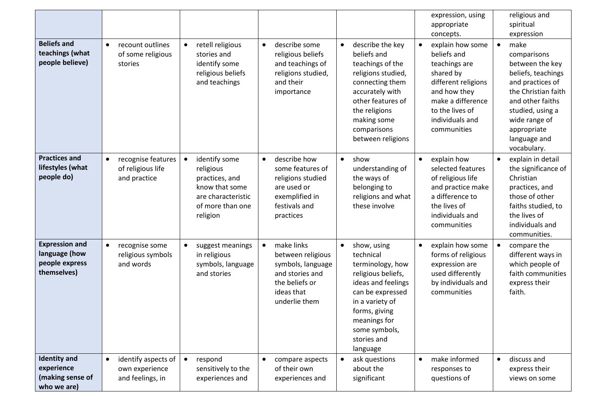|                                                                         |                                                                        |                                                                                                                                   |                                                                                                                                                    | expression, using<br>appropriate<br>concepts.                                                                                                                                                                                                                                                                                                                                              | religious and<br>spiritual<br>expression                                                                                                                                                                                    |
|-------------------------------------------------------------------------|------------------------------------------------------------------------|-----------------------------------------------------------------------------------------------------------------------------------|----------------------------------------------------------------------------------------------------------------------------------------------------|--------------------------------------------------------------------------------------------------------------------------------------------------------------------------------------------------------------------------------------------------------------------------------------------------------------------------------------------------------------------------------------------|-----------------------------------------------------------------------------------------------------------------------------------------------------------------------------------------------------------------------------|
| <b>Beliefs and</b><br>teachings (what<br>people believe)                | recount outlines<br>$\bullet$<br>of some religious<br>stories          | retell religious<br>$\bullet$<br>stories and<br>identify some<br>religious beliefs<br>and teachings                               | describe some<br>$\bullet$<br>$\bullet$<br>religious beliefs<br>and teachings of<br>religions studied,<br>and their<br>importance                  | describe the key<br>explain how some<br>beliefs and<br>beliefs and<br>teachings of the<br>teachings are<br>religions studied,<br>shared by<br>connecting them<br>different religions<br>accurately with<br>and how they<br>other features of<br>make a difference<br>the religions<br>to the lives of<br>making some<br>individuals and<br>comparisons<br>communities<br>between religions | make<br>$\bullet$<br>comparisons<br>between the key<br>beliefs, teachings<br>and practices of<br>the Christian faith<br>and other faiths<br>studied, using a<br>wide range of<br>appropriate<br>language and<br>vocabulary. |
| <b>Practices and</b><br>lifestyles (what<br>people do)                  | recognise features<br>$\bullet$<br>of religious life<br>and practice   | identify some<br>$\bullet$<br>religious<br>practices, and<br>know that some<br>are characteristic<br>of more than one<br>religion | describe how<br>$\bullet$<br>$\bullet$<br>some features of<br>religions studied<br>are used or<br>exemplified in<br>festivals and<br>practices     | show<br>explain how<br>$\bullet$<br>selected features<br>understanding of<br>the ways of<br>of religious life<br>belonging to<br>and practice make<br>a difference to<br>religions and what<br>these involve<br>the lives of<br>individuals and<br>communities                                                                                                                             | explain in detail<br>$\bullet$<br>the significance of<br>Christian<br>practices, and<br>those of other<br>faiths studied, to<br>the lives of<br>individuals and<br>communities.                                             |
| <b>Expression and</b><br>language (how<br>people express<br>themselves) | recognise some<br>$\bullet$<br>religious symbols<br>and words          | suggest meanings<br>$\bullet$<br>in religious<br>symbols, language<br>and stories                                                 | make links<br>$\bullet$<br>$\bullet$<br>between religious<br>symbols, language<br>and stories and<br>the beliefs or<br>ideas that<br>underlie them | explain how some<br>show, using<br>$\bullet$<br>forms of religious<br>technical<br>terminology, how<br>expression are<br>used differently<br>religious beliefs,<br>ideas and feelings<br>by individuals and<br>can be expressed<br>communities<br>in a variety of<br>forms, giving<br>meanings for<br>some symbols,<br>stories and<br>language                                             | compare the<br>$\bullet$<br>different ways in<br>which people of<br>faith communities<br>express their<br>faith.                                                                                                            |
| <b>Identity and</b><br>experience<br>(making sense of<br>who we are)    | identify aspects of<br>$\bullet$<br>own experience<br>and feelings, in | $\bullet$<br>respond<br>sensitively to the<br>experiences and                                                                     | compare aspects<br>of their own<br>experiences and                                                                                                 | make informed<br>ask questions<br>$\bullet$<br>about the<br>responses to<br>significant<br>questions of                                                                                                                                                                                                                                                                                    | discuss and<br>$\bullet$<br>express their<br>views on some                                                                                                                                                                  |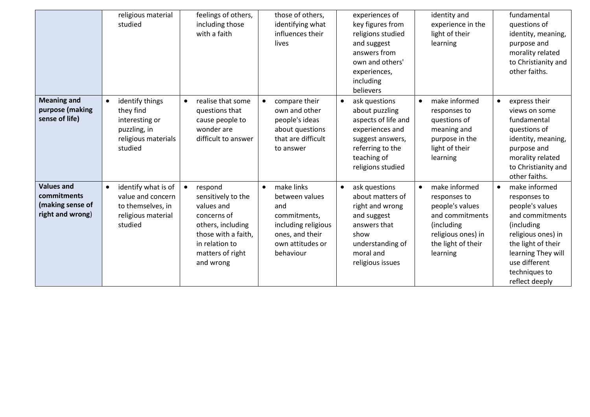|                                                                          | religious material<br>studied                                                                                 | feelings of others,<br>including those<br>with a faith                                                                                                                 | those of others,<br>identifying what<br>influences their<br>lives                                                                           | experiences of<br>key figures from<br>religions studied<br>and suggest<br>answers from<br>own and others'<br>experiences,<br>including<br>believers                | identity and<br>experience in the<br>light of their<br>learning                                                                                        | fundamental<br>questions of<br>identity, meaning,<br>purpose and<br>morality related<br>to Christianity and<br>other faiths.                                                                                         |
|--------------------------------------------------------------------------|---------------------------------------------------------------------------------------------------------------|------------------------------------------------------------------------------------------------------------------------------------------------------------------------|---------------------------------------------------------------------------------------------------------------------------------------------|--------------------------------------------------------------------------------------------------------------------------------------------------------------------|--------------------------------------------------------------------------------------------------------------------------------------------------------|----------------------------------------------------------------------------------------------------------------------------------------------------------------------------------------------------------------------|
| <b>Meaning and</b><br>purpose (making<br>sense of life)                  | identify things<br>$\bullet$<br>they find<br>interesting or<br>puzzling, in<br>religious materials<br>studied | realise that some<br>$\bullet$<br>questions that<br>cause people to<br>wonder are<br>difficult to answer                                                               | compare their<br>$\bullet$<br>own and other<br>people's ideas<br>about questions<br>that are difficult<br>to answer                         | ask questions<br>$\bullet$<br>about puzzling<br>aspects of life and<br>experiences and<br>suggest answers,<br>referring to the<br>teaching of<br>religions studied | make informed<br>$\bullet$<br>responses to<br>questions of<br>meaning and<br>purpose in the<br>light of their<br>learning                              | express their<br>$\bullet$<br>views on some<br>fundamental<br>questions of<br>identity, meaning,<br>purpose and<br>morality related<br>to Christianity and<br>other faiths.                                          |
| <b>Values and</b><br>commitments<br>(making sense of<br>right and wrong) | identify what is of<br>$\bullet$<br>value and concern<br>to themselves, in<br>religious material<br>studied   | respond<br>$\bullet$<br>sensitively to the<br>values and<br>concerns of<br>others, including<br>those with a faith,<br>in relation to<br>matters of right<br>and wrong | make links<br>$\bullet$<br>between values<br>and<br>commitments,<br>including religious<br>ones, and their<br>own attitudes or<br>behaviour | ask questions<br>$\bullet$<br>about matters of<br>right and wrong<br>and suggest<br>answers that<br>show<br>understanding of<br>moral and<br>religious issues      | make informed<br>$\bullet$<br>responses to<br>people's values<br>and commitments<br>(including<br>religious ones) in<br>the light of their<br>learning | make informed<br>$\bullet$<br>responses to<br>people's values<br>and commitments<br>(including<br>religious ones) in<br>the light of their<br>learning They will<br>use different<br>techniques to<br>reflect deeply |